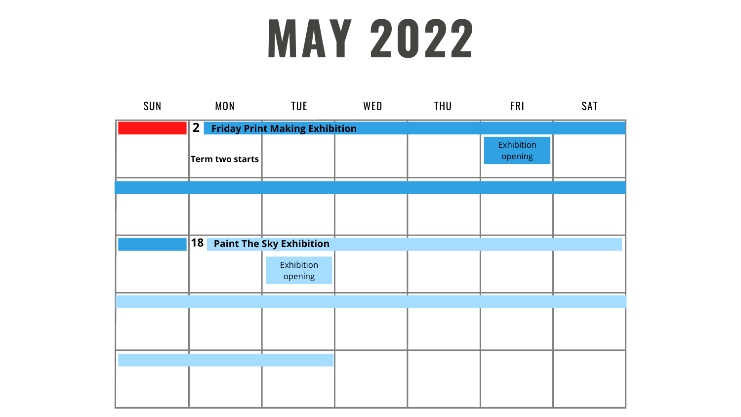## **MAY 2022**

| SUN | <b>MON</b>             | <b>TUE</b>                            | WED | <b>THU</b> | <b>FRI</b>            | <b>SAT</b> |
|-----|------------------------|---------------------------------------|-----|------------|-----------------------|------------|
|     | 2                      | <b>Friday Print Making Exhibition</b> |     |            |                       |            |
|     | <b>Term two starts</b> |                                       |     |            | Exhibition<br>opening |            |
|     |                        |                                       |     |            |                       |            |
|     |                        |                                       |     |            |                       |            |
|     |                        |                                       |     |            |                       |            |
|     | <b>18</b>              | <b>Paint The Sky Exhibition</b>       |     |            |                       |            |
|     |                        | Exhibition<br>opening                 |     |            |                       |            |
|     |                        |                                       |     |            |                       |            |
|     |                        |                                       |     |            |                       |            |
|     |                        |                                       |     |            |                       |            |
|     |                        |                                       |     |            |                       |            |

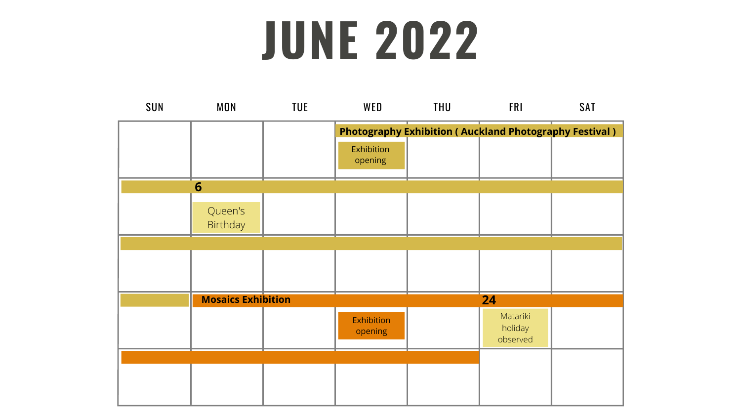## **JUNE 2022**

| <b>Auckland Photography Festival)</b> |  |
|---------------------------------------|--|
|                                       |  |
|                                       |  |
| 24<br>Matariki<br>holiday<br>observed |  |
|                                       |  |



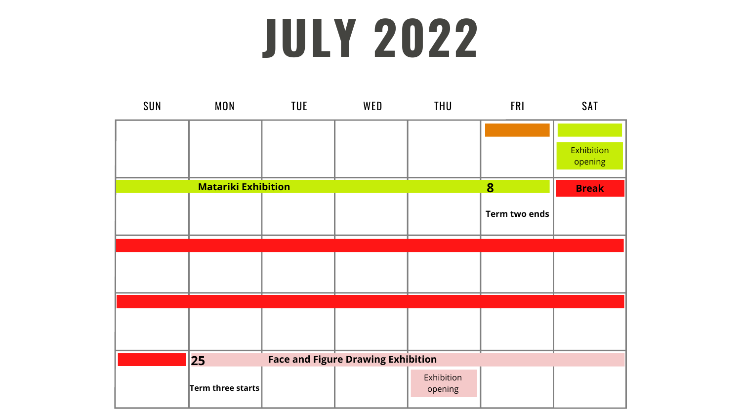## **JULY 2022**

## **Term two ends** Exhibition opening

| SUN | <b>MON</b>                 | <b>TUE</b> | WED                                       | <b>THU</b>            | <b>FRI</b>    | <b>SAT</b>            |
|-----|----------------------------|------------|-------------------------------------------|-----------------------|---------------|-----------------------|
|     |                            |            |                                           |                       |               |                       |
|     |                            |            |                                           |                       |               | Exhibition<br>opening |
|     | <b>Matariki Exhibition</b> |            |                                           |                       | 8             | <b>Break</b>          |
|     |                            |            |                                           |                       | Term two ends |                       |
|     |                            |            |                                           |                       |               |                       |
|     |                            |            |                                           |                       |               |                       |
|     |                            |            |                                           |                       |               |                       |
|     |                            |            |                                           |                       |               |                       |
|     |                            |            |                                           |                       |               |                       |
|     | 25                         |            | <b>Face and Figure Drawing Exhibition</b> |                       |               |                       |
|     | Term three starts          |            |                                           | Exhibition<br>opening |               |                       |

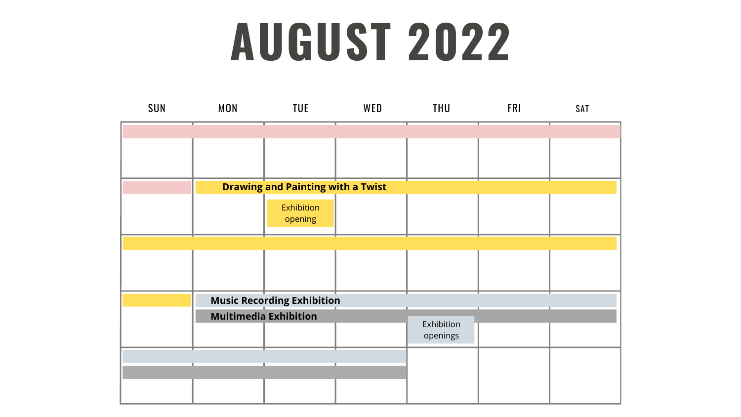## **AUGUST 2022**

| SUN | <b>MON</b> | TUE                                      | WED | <b>THU</b>             | <b>FRI</b> | SAT |
|-----|------------|------------------------------------------|-----|------------------------|------------|-----|
|     |            |                                          |     |                        |            |     |
|     |            |                                          |     |                        |            |     |
|     |            |                                          |     |                        |            |     |
|     |            | <b>Drawing and Painting with a Twist</b> |     |                        |            |     |
|     |            | Exhibition<br>opening                    |     |                        |            |     |
|     |            |                                          |     |                        |            |     |
|     |            |                                          |     |                        |            |     |
|     |            | <b>Music Recording Exhibition</b>        |     |                        |            |     |
|     |            | <b>Multimedia Exhibition</b>             |     | Exhibition<br>openings |            |     |
|     |            |                                          |     |                        |            |     |
|     |            |                                          |     |                        |            |     |
|     |            |                                          |     |                        |            |     |

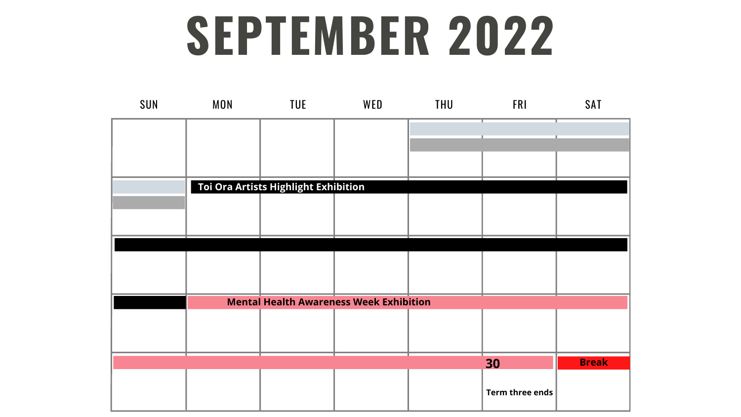#### **SEPTEMBER 2022**

# **Term three ends 30 Break**

| SUN | <b>MON</b> | <b>TUE</b>                           | WED                                            | <b>THU</b> | <b>FRI</b>      | <b>SAT</b>  |
|-----|------------|--------------------------------------|------------------------------------------------|------------|-----------------|-------------|
|     |            |                                      |                                                |            |                 |             |
|     |            |                                      |                                                |            |                 |             |
|     |            |                                      |                                                |            |                 |             |
|     |            | Toi Ora Artists Highlight Exhibition |                                                |            |                 |             |
|     |            |                                      |                                                |            |                 |             |
|     |            |                                      |                                                |            |                 |             |
|     |            |                                      |                                                |            |                 |             |
|     |            |                                      |                                                |            |                 |             |
|     |            |                                      | <b>Mental Health Awareness Week Exhibition</b> |            |                 |             |
|     |            |                                      |                                                |            |                 |             |
|     |            |                                      |                                                |            |                 |             |
|     |            |                                      |                                                |            | 30              | <b>Brea</b> |
|     |            |                                      |                                                |            | Term three ends |             |

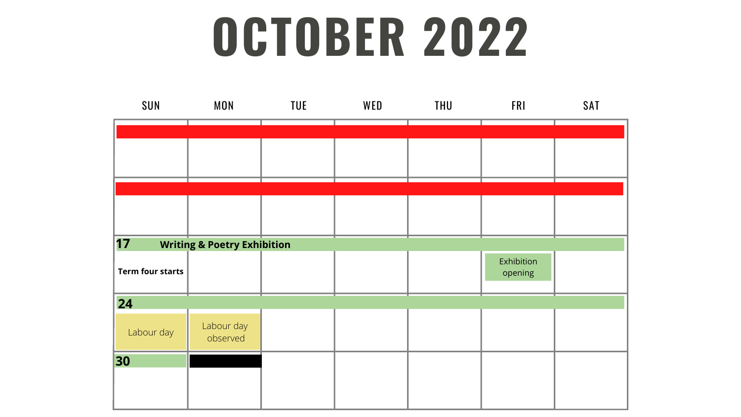## **OCTOBER 2022**





#### FRI SAT

| Exhibition<br>opening |  |
|-----------------------|--|
|                       |  |
|                       |  |
|                       |  |
|                       |  |
|                       |  |
|                       |  |
|                       |  |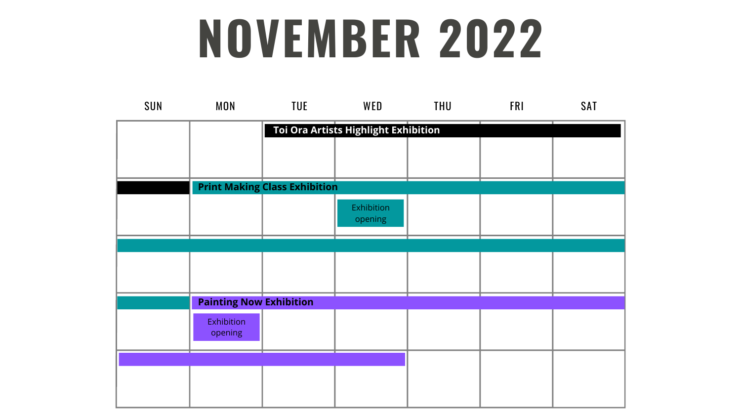## **NOVEMBER 2022**

| SUN | <b>MON</b>                     | TUE                                  | WED                                  | <b>THU</b> | <b>FRI</b> | <b>SAT</b> |
|-----|--------------------------------|--------------------------------------|--------------------------------------|------------|------------|------------|
|     |                                |                                      | Toi Ora Artists Highlight Exhibition |            |            |            |
|     |                                |                                      |                                      |            |            |            |
|     |                                |                                      |                                      |            |            |            |
|     |                                | <b>Print Making Class Exhibition</b> |                                      |            |            |            |
|     |                                |                                      | Exhibition<br>opening                |            |            |            |
|     |                                |                                      |                                      |            |            |            |
|     |                                |                                      |                                      |            |            |            |
|     |                                |                                      |                                      |            |            |            |
|     | <b>Painting Now Exhibition</b> |                                      |                                      |            |            |            |
|     | Exhibition<br>opening          |                                      |                                      |            |            |            |
|     |                                |                                      |                                      |            |            |            |
|     |                                |                                      |                                      |            |            |            |
|     |                                |                                      |                                      |            |            |            |